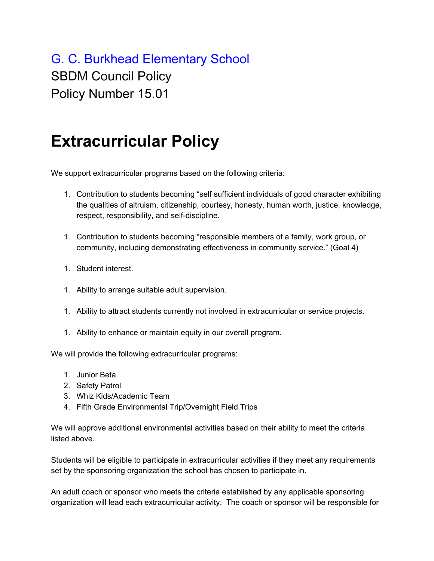## G. C. Burkhead Elementary School SBDM Council Policy Policy Number 15.01

## **Extracurricular Policy**

We support extracurricular programs based on the following criteria:

- 1. Contribution to students becoming "self sufficient individuals of good character exhibiting the qualities of altruism, citizenship, courtesy, honesty, human worth, justice, knowledge, respect, responsibility, and self-discipline.
- 1. Contribution to students becoming "responsible members of a family, work group, or community, including demonstrating effectiveness in community service." (Goal 4)
- 1. Student interest.
- 1. Ability to arrange suitable adult supervision.
- 1. Ability to attract students currently not involved in extracurricular or service projects.
- 1. Ability to enhance or maintain equity in our overall program.

We will provide the following extracurricular programs:

- 1. Junior Beta
- 2. Safety Patrol
- 3. Whiz Kids/Academic Team
- 4. Fifth Grade Environmental Trip/Overnight Field Trips

We will approve additional environmental activities based on their ability to meet the criteria listed above.

Students will be eligible to participate in extracurricular activities if they meet any requirements set by the sponsoring organization the school has chosen to participate in.

An adult coach or sponsor who meets the criteria established by any applicable sponsoring organization will lead each extracurricular activity. The coach or sponsor will be responsible for